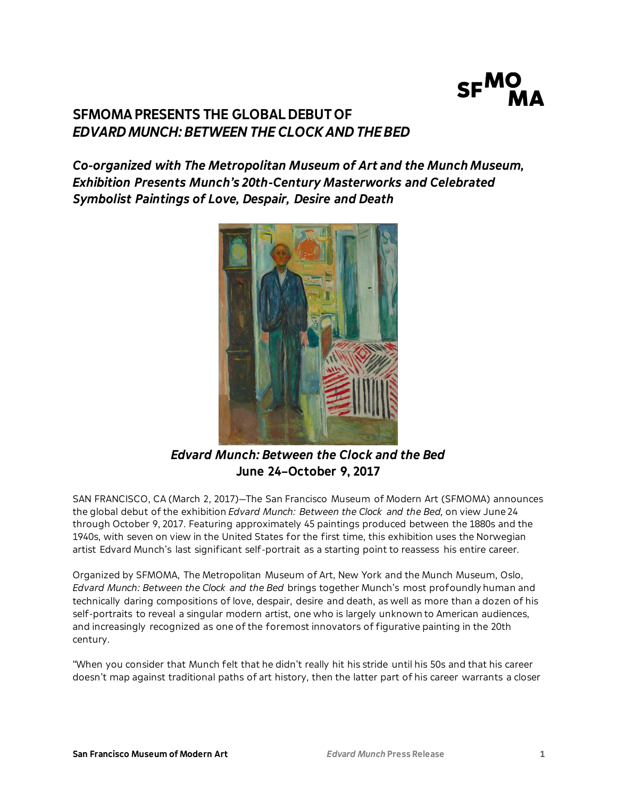

# **SFMOMA PRESENTS THE GLOBAL DEBUT OF**  *EDVARD MUNCH: BETWEEN THE CLOCK AND THE BED*

*Co-organized with The Metropolitan Museum of Art and the Munch Museum, Exhibition Presents Munch's 20th-Century Masterworks and Celebrated Symbolist Paintings of Love, Despair, Desire and Death*



*Edvard Munch: Between the Clock and the Bed* **June 24–October 9, 2017**

SAN FRANCISCO, CA (March 2, 2017)—The San Francisco Museum of Modern Art (SFMOMA) announces the global debut of the exhibition *Edvard Munch: Between the Clock and the Bed,* on view June 24 through October 9, 2017. Featuring approximately 45 paintings produced between the 1880s and the 1940s, with seven on view in the United States for the first time, this exhibition uses the Norwegian artist Edvard Munch's last significant self-portrait as a starting point to reassess his entire career.

Organized by SFMOMA, The Metropolitan Museum of Art, New York and the Munch Museum, Oslo, *Edvard Munch: Between the Clock and the Bed* brings together Munch's most profoundly human and technically daring compositions of love, despair, desire and death, as well as more than a dozen of his self-portraits to reveal a singular modern artist, one who is largely unknown to American audiences, and increasingly recognized as one of the foremost innovators of figurative painting in the 20th century.

"When you consider that Munch felt that he didn't really hit his stride until his 50s and that his career doesn't map against traditional paths of art history, then the latter part of his career warrants a closer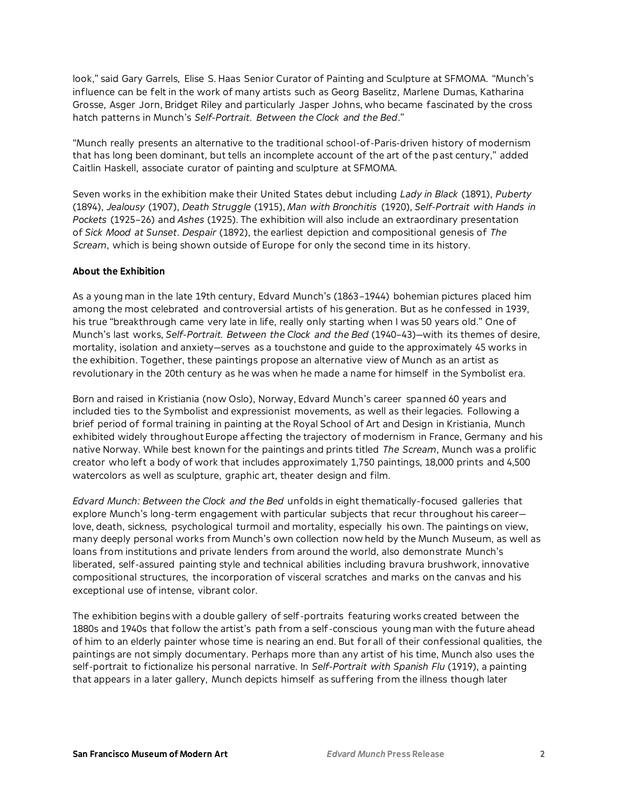look," said Gary Garrels, Elise S. Haas Senior Curator of Painting and Sculpture at SFMOMA. "Munch's influence can be felt in the work of many artists such as Georg Baselitz, Marlene Dumas, Katharina Grosse, Asger Jorn, Bridget Riley and particularly Jasper Johns, who became fascinated by the cross hatch patterns in Munch's *Self-Portrait*. *Between the Clock and the Bed*."

"Munch really presents an alternative to the traditional school-of-Paris-driven history of modernism that has long been dominant, but tells an incomplete account of the art of the past century," added Caitlin Haskell, associate curator of painting and sculpture at SFMOMA.

Seven works in the exhibition make their United States debut including *Lady in Black* (1891), *Puberty* (1894), *Jealousy* (1907), *Death Struggle* (1915), *Man with Bronchitis* (1920), *Self-Portrait with Hands in Pockets* (1925–26) and *Ashes* (1925). The exhibition will also include an extraordinary presentation of *Sick Mood at Sunset*. *Despair* (1892), the earliest depiction and compositional genesis of *The Scream*, which is being shown outside of Europe for only the second time in its history.

#### **About the Exhibition**

As a young man in the late 19th century, Edvard Munch's (1863–1944) bohemian pictures placed him among the most celebrated and controversial artists of his generation. But as he confessed in 1939, his true "breakthrough came very late in life, really only starting when I was 50 years old." One of Munch's last works, *Self-Portrait. Between the Clock and the Bed* (1940–43)—with its themes of desire, mortality, isolation and anxiety—serves as a touchstone and guide to the approximately 45 works in the exhibition. Together, these paintings propose an alternative view of Munch as an artist as revolutionary in the 20th century as he was when he made a name for himself in the Symbolist era.

Born and raised in Kristiania (now Oslo), Norway, Edvard Munch's career spanned 60 years and included ties to the Symbolist and expressionist movements, as well as their legacies. Following a brief period of formal training in painting at the Royal School of Art and Design in Kristiania, Munch exhibited widely throughout Europe affecting the trajectory of modernism in France, Germany and his native Norway. While best known for the paintings and prints titled *The Scream*, Munch was a prolific creator who left a body of work that includes approximately 1,750 paintings, 18,000 prints and 4,500 watercolors as well as sculpture, graphic art, theater design and film.

*Edvard Munch: Between the Clock and the Bed* unfolds in eight thematically-focused galleries that explore Munch's long-term engagement with particular subjects that recur throughout his career love, death, sickness, psychological turmoil and mortality, especially his own. The paintings on view, many deeply personal works from Munch's own collection now held by the Munch Museum, as well as loans from institutions and private lenders from around the world, also demonstrate Munch's liberated, self-assured painting style and technical abilities including bravura brushwork, innovative compositional structures, the incorporation of visceral scratches and marks on the canvas and his exceptional use of intense, vibrant color.

The exhibition begins with a double gallery of self-portraits featuring works created between the 1880s and 1940s that follow the artist's path from a self-conscious young man with the future ahead of him to an elderly painter whose time is nearing an end. But for all of their confessional qualities, the paintings are not simply documentary. Perhaps more than any artist of his time, Munch also uses the self-portrait to fictionalize his personal narrative. In *Self-Portrait with Spanish Flu* (1919), a painting that appears in a later gallery, Munch depicts himself as suffering from the illness though later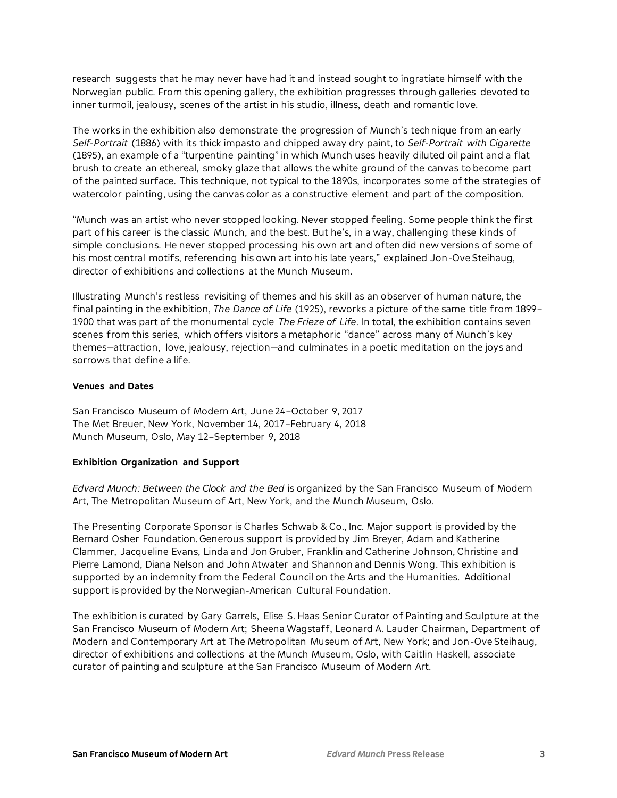research suggests that he may never have had it and instead sought to ingratiate himself with the Norwegian public. From this opening gallery, the exhibition progresses through galleries devoted to inner turmoil, jealousy, scenes of the artist in his studio, illness, death and romantic love.

The works in the exhibition also demonstrate the progression of Munch's technique from an early *Self-Portrait* (1886) with its thick impasto and chipped away dry paint, to *Self-Portrait with Cigarette* (1895), an example of a "turpentine painting" in which Munch uses heavily diluted oil paint and a flat brush to create an ethereal, smoky glaze that allows the white ground of the canvas to become part of the painted surface. This technique, not typical to the 1890s, incorporates some of the strategies of watercolor painting, using the canvas color as a constructive element and part of the composition.

"Munch was an artist who never stopped looking. Never stopped feeling. Some people think the first part of his career is the classic Munch, and the best. But he's, in a way, challenging these kinds of simple conclusions. He never stopped processing his own art and often did new versions of some of his most central motifs, referencing his own art into his late years," explained Jon-Ove Steihaug, director of exhibitions and collections at the Munch Museum.

Illustrating Munch's restless revisiting of themes and his skill as an observer of human nature, the final painting in the exhibition, *The Dance of Life* (1925), reworks a picture of the same title from 1899– 1900 that was part of the monumental cycle *The Frieze of Life*. In total, the exhibition contains seven scenes from this series, which offers visitors a metaphoric "dance" across many of Munch's key themes—attraction, love, jealousy, rejection—and culminates in a poetic meditation on the joys and sorrows that define a life.

#### **Venues and Dates**

San Francisco Museum of Modern Art, June 24–October 9, 2017 The Met Breuer, New York, November 14, 2017–February 4, 2018 Munch Museum, Oslo, May 12–September 9, 2018

## **Exhibition Organization and Support**

*Edvard Munch: Between the Clock and the Bed* is organized by the San Francisco Museum of Modern Art, The Metropolitan Museum of Art, New York, and the Munch Museum, Oslo.

The Presenting Corporate Sponsor is Charles Schwab & Co., Inc. Major support is provided by the Bernard Osher Foundation. Generous support is provided by Jim Breyer, Adam and Katherine Clammer, Jacqueline Evans, Linda and Jon Gruber, Franklin and Catherine Johnson, Christine and Pierre Lamond, Diana Nelson and John Atwater and Shannon and Dennis Wong. This exhibition is supported by an indemnity from the Federal Council on the Arts and the Humanities. Additional support is provided by the Norwegian-American Cultural Foundation.

The exhibition is curated by Gary Garrels, Elise S. Haas Senior Curator of Painting and Sculpture at the San Francisco Museum of Modern Art; Sheena Wagstaff, Leonard A. Lauder Chairman, Department of Modern and Contemporary Art at The Metropolitan Museum of Art, New York; and Jon-Ove Steihaug, director of exhibitions and collections at the Munch Museum, Oslo, with Caitlin Haskell, associate curator of painting and sculpture at the San Francisco Museum of Modern Art.